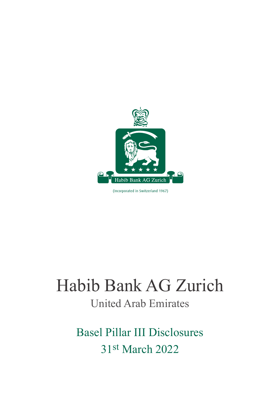

(Incorporated in Switzerland 1967)

# Habib Bank AG Zurich United Arab Emirates

Basel Pillar III Disclosures 31st March 2022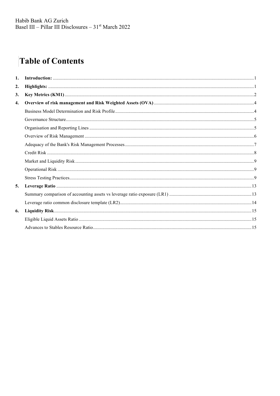# **Table of Contents**

| 1.               |  |
|------------------|--|
| 2.               |  |
| 3.               |  |
| $\overline{4}$ . |  |
|                  |  |
|                  |  |
|                  |  |
|                  |  |
|                  |  |
|                  |  |
|                  |  |
|                  |  |
|                  |  |
| 5.               |  |
|                  |  |
|                  |  |
| 6.               |  |
|                  |  |
|                  |  |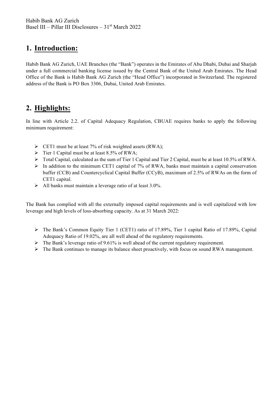# **1. Introduction:**

Habib Bank AG Zurich, UAE Branches (the "Bank") operates in the Emirates of Abu Dhabi, Dubai and Sharjah under a full commercial banking license issued by the Central Bank of the United Arab Emirates. The Head Office of the Bank is Habib Bank AG Zurich (the "Head Office") incorporated in Switzerland. The registered address of the Bank is PO Box 3306, Dubai, United Arab Emirates.

# **2. Highlights:**

In line with Article 2.2. of Capital Adequacy Regulation, CBUAE requires banks to apply the following minimum requirement:

- $\triangleright$  CET1 must be at least 7% of risk weighted assets (RWA);
- $\triangleright$  Tier 1 Capital must be at least 8.5% of RWA;
- $\triangleright$  Total Capital, calculated as the sum of Tier 1 Capital and Tier 2 Capital, must be at least 10.5% of RWA.
- $\triangleright$  In addition to the minimum CET1 capital of 7% of RWA, banks must maintain a capital conservation buffer (CCB) and Countercyclical Capital Buffer (CCyB), maximum of 2.5% of RWAs on the form of CET1 capital.
- $\triangleright$  All banks must maintain a leverage ratio of at least 3.0%.

The Bank has complied with all the externally imposed capital requirements and is well capitalized with low leverage and high levels of loss-absorbing capacity. As at 31 March 2022:

- $\triangleright$  The Bank's Common Equity Tier 1 (CET1) ratio of 17.89%. Tier 1 capital Ratio of 17.89%. Capital Adequacy Ratio of 19.02%, are all well ahead of the regulatory requirements.
- $\triangleright$  The Bank's leverage ratio of 9.61% is well ahead of the current regulatory requirement.
- $\triangleright$  The Bank continues to manage its balance sheet proactively, with focus on sound RWA management.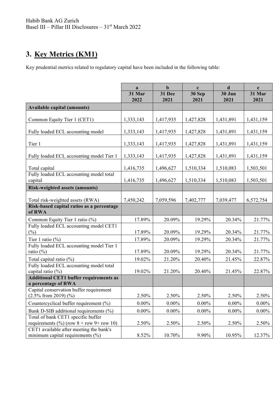# **3. Key Metrics (KM1)**

Key prudential metrics related to regulatory capital have been included in the following table:

|                                                                                | a<br>31 Mar | $\mathbf b$<br>31 Dec | $\mathbf c$<br>30 Sep | $\mathbf d$<br>30 Jun | e<br>31 Mar |
|--------------------------------------------------------------------------------|-------------|-----------------------|-----------------------|-----------------------|-------------|
|                                                                                | 2022        | 2021                  | 2021                  | 2021                  | 2021        |
| <b>Available capital (amounts)</b>                                             |             |                       |                       |                       |             |
| Common Equity Tier 1 (CET1)                                                    | 1,333,143   | 1,417,935             | 1,427,828             | 1,431,891             | 1,431,159   |
| Fully loaded ECL accounting model                                              | 1,333,143   | 1,417,935             | 1,427,828             | 1,431,891             | 1,431,159   |
| Tier 1                                                                         | 1,333,143   | 1,417,935             | 1,427,828             | 1,431,891             | 1,431,159   |
| Fully loaded ECL accounting model Tier 1                                       | 1,333,143   | 1,417,935             | 1,427,828             | 1,431,891             | 1,431,159   |
| Total capital                                                                  | 1,416,735   | 1,496,627             | 1,510,334             | 1,510,083             | 1,503,501   |
| Fully loaded ECL accounting model total<br>capital                             | 1,416,735   | 1,496,627             | 1,510,334             | 1,510,083             | 1,503,501   |
| <b>Risk-weighted assets (amounts)</b>                                          |             |                       |                       |                       |             |
| Total risk-weighted assets (RWA)                                               | 7,450,242   | 7,059,596             | 7,402,777             | 7,039,477             | 6,572,754   |
| Risk-based capital ratios as a percentage<br>of RWA                            |             |                       |                       |                       |             |
| Common Equity Tier 1 ratio (%)                                                 | 17.89%      | 20.09%                | 19.29%                | 20.34%                | 21.77%      |
| Fully loaded ECL accounting model CET1<br>$(\%)$                               | 17.89%      | 20.09%                | 19.29%                | 20.34%                | 21.77%      |
| Tier 1 ratio $(\% )$                                                           | 17.89%      | 20.09%                | 19.29%                | 20.34%                | 21.77%      |
| Fully loaded ECL accounting model Tier 1<br>ratio (%)                          | 17.89%      | 20.09%                | 19.29%                | 20.34%                | 21.77%      |
| Total capital ratio $(\%)$                                                     | 19.02%      | 21.20%                | 20.40%                | 21.45%                | 22.87%      |
| Fully loaded ECL accounting model total<br>capital ratio (%)                   | 19.02%      | 21.20%                | 20.40%                | 21.45%                | 22.87%      |
| <b>Additional CET1 buffer requirements as</b><br>a percentage of RWA           |             |                       |                       |                       |             |
| Capital conservation buffer requirement                                        |             |                       |                       |                       |             |
| $(2.5\%$ from 2019) $(\%$                                                      | 2.50%       | 2.50%                 | 2.50%                 | 2.50%                 | 2.50%       |
| Countercyclical buffer requirement (%)                                         | $0.00\%$    | $0.00\%$              | $0.00\%$              | $0.00\%$              | $0.00\%$    |
| Bank D-SIB additional requirements (%)                                         | $0.00\%$    | $0.00\%$              | $0.00\%$              | $0.00\%$              | $0.00\%$    |
| Total of bank CET1 specific buffer                                             |             |                       |                       |                       |             |
| requirements $(\%)(row 8 + row 9 + row 10)$                                    | 2.50%       | 2.50%                 | 2.50%                 | 2.50%                 | 2.50%       |
| CET1 available after meeting the bank's<br>minimum capital requirements $(\%)$ | 8.52%       | 10.70%                | 9.90%                 | 10.95%                | 12.37%      |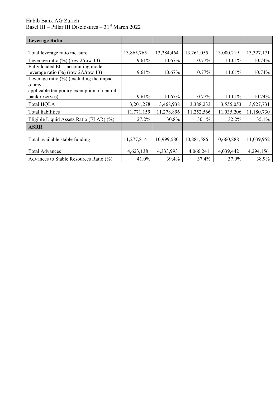| <b>Leverage Ratio</b>                         |            |            |            |            |            |
|-----------------------------------------------|------------|------------|------------|------------|------------|
|                                               |            |            |            |            |            |
| Total leverage ratio measure                  | 13,865,765 | 13,284,464 | 13,261,055 | 13,000,219 | 13,327,171 |
| Leverage ratio $(\frac{6}{6})$ (row 2/row 13) | 9.61%      | 10.67%     | 10.77%     | 11.01%     | 10.74%     |
| Fully loaded ECL accounting model             |            |            |            |            |            |
| leverage ratio $(\%)$ (row 2A/row 13)         | 9.61%      | 10.67%     | 10.77%     | 11.01%     | 10.74%     |
| Leverage ratio $(\%)$ (excluding the impact   |            |            |            |            |            |
| of any                                        |            |            |            |            |            |
| applicable temporary exemption of central     |            |            |            |            |            |
| bank reserves)                                | 9.61%      | 10.67%     | 10.77%     | 11.01%     | 10.74%     |
| <b>Total HQLA</b>                             | 3,201,278  | 3,468,938  | 3,388,233  | 3,555,053  | 3,927,731  |
| Total liabilities                             | 11,771,159 | 11,278,896 | 11,252,566 | 11,035,206 | 11,180,730 |
| Eligible Liquid Assets Ratio (ELAR) (%)       | 27.2%      | 30.8%      | 30.1%      | 32.2%      | 35.1%      |
| <b>ASRR</b>                                   |            |            |            |            |            |
|                                               |            |            |            |            |            |
| Total available stable funding                | 11,277,814 | 10,999,580 | 10,881,586 | 10,660,888 | 11,039,952 |
|                                               |            |            |            |            |            |
| <b>Total Advances</b>                         | 4,623,138  | 4,333,993  | 4,066,241  | 4,039,442  | 4,294,156  |
| Advances to Stable Resources Ratio (%)        | 41.0%      | 39.4%      | 37.4%      | 37.9%      | 38.9%      |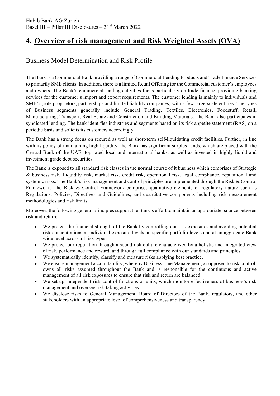# **4. Overview of risk management and Risk Weighted Assets (OVA)**

### Business Model Determination and Risk Profile

The Bank is a Commercial Bank providing a range of Commercial Lending Products and Trade Finance Services to primarily SME clients. In addition, there is a limited Retail Offering for the Commercial customer's employees and owners. The Bank's commercial lending activities focus particularly on trade finance, providing banking services for the customer's import and export requirements. The customer lending is mainly to individuals and SME's (sole proprietors, partnerships and limited liability companies) with a few large-scale entities. The types of Business segments generally include General Trading, Textiles, Electronics, Foodstuff, Retail, Manufacturing, Transport, Real Estate and Construction and Building Materials. The Bank also participates in syndicated lending. The bank identifies industries and segments based on its risk appetite statement (RAS) on a periodic basis and solicits its customers accordingly.

The Bank has a strong focus on secured as well as short-term self-liquidating credit facilities. Further, in line with its policy of maintaining high liquidity, the Bank has significant surplus funds, which are placed with the Central Bank of the UAE, top rated local and international banks, as well as invested in highly liquid and investment grade debt securities.

The Bank is exposed to all standard risk classes in the normal course of it business which comprises of Strategic & business risk, Liquidity risk, market risk, credit risk, operational risk, legal compliance, reputational and systemic risks. The Bank's risk management and control principles are implemented through the Risk & Control Framework. The Risk & Control Framework comprises qualitative elements of regulatory nature such as Regulations, Policies, Directives and Guidelines, and quantitative components including risk measurement methodologies and risk limits.

Moreover, the following general principles support the Bank's effort to maintain an appropriate balance between risk and return:

- We protect the financial strength of the Bank by controlling our risk exposures and avoiding potential risk concentrations at individual exposure levels, at specific portfolio levels and at an aggregate Bank wide level across all risk types.
- We protect our reputation through a sound risk culture characterized by a holistic and integrated view of risk, performance and reward, and through full compliance with our standards and principles.
- We systematically identify, classify and measure risks applying best practice.
- We ensure management accountability, whereby Business Line Management, as opposed to risk control, owns all risks assumed throughout the Bank and is responsible for the continuous and active management of all risk exposures to ensure that risk and return are balanced.
- We set up independent risk control functions or units, which monitor effectiveness of business's risk management and oversee risk-taking activities.
- We disclose risks to General Management, Board of Directors of the Bank, regulators, and other stakeholders with an appropriate level of comprehensiveness and transparency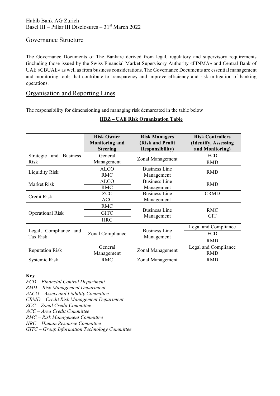#### Governance Structure

The Governance Documents of The Bankare derived from legal, regulatory and supervisory requirements (including those issued by the Swiss Financial Market Supervisory Authority «FINMA» and Central Bank of UAE «CBUAE» as well as from business considerations. The Governance Documents are essential management and monitoring tools that contribute to transparency and improve efficiency and risk mitigation of banking operations.

### Organisation and Reporting Lines

The responsibility for dimensioning and managing risk demarcated in the table below

|                                     | <b>Risk Owner</b>                        | <b>Risk Managers</b>                       | <b>Risk Controllers</b>                 |
|-------------------------------------|------------------------------------------|--------------------------------------------|-----------------------------------------|
|                                     | <b>Monitoring and</b><br><b>Steering</b> | (Risk and Profit<br><b>Responsibility)</b> | (Identify, Assessing<br>and Monitoring) |
| <b>Business</b><br>Strategic<br>and | General                                  |                                            | FCD                                     |
| <b>Risk</b>                         | Management                               | Zonal Management                           | <b>RMD</b>                              |
| <b>Liquidity Risk</b>               | <b>ALCO</b>                              | <b>Business Line</b>                       | <b>RMD</b>                              |
|                                     | <b>RMC</b>                               | Management                                 |                                         |
| Market Risk                         | <b>ALCO</b>                              | <b>Business Line</b>                       | <b>RMD</b>                              |
|                                     | <b>RMC</b>                               | Management                                 |                                         |
| <b>Credit Risk</b>                  | <b>ZCC</b>                               | <b>Business Line</b>                       | <b>CRMD</b>                             |
|                                     | <b>ACC</b>                               | Management                                 |                                         |
|                                     | <b>RMC</b>                               |                                            |                                         |
| <b>Operational Risk</b>             | <b>GITC</b>                              | <b>Business Line</b>                       | <b>RMC</b><br><b>GIT</b>                |
|                                     | <b>HRC</b>                               | Management                                 |                                         |
|                                     |                                          |                                            | Legal and Compliance                    |
| Legal, Compliance and<br>Tax Risk   | Zonal Compliance                         | <b>Business Line</b><br>Management         | FCD                                     |
|                                     |                                          |                                            | <b>RMD</b>                              |
| <b>Reputation Risk</b>              | General                                  | Zonal Management                           | Legal and Compliance                    |
|                                     | Management                               |                                            | <b>RMD</b>                              |
| Systemic Risk                       | <b>RMC</b>                               | Zonal Management                           | <b>RMD</b>                              |

#### **HBZ – UAE Risk Organization Table**

**Key**

*FCD – Financial Control Department*

*RMD – Risk Management Department*

*ALCO – Assets and Liability Committee*

*CRMD – Credit Risk Management Department*

*ZCC – Zonal Credit Committee*

*ACC – Area Credit Committee*

*RMC – Risk Management Committee*

*HRC – Human Resource Committee*

*GITC – Group Information Technology Committee*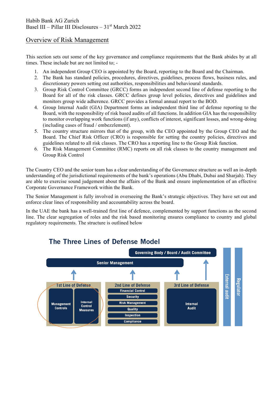### Overview of Risk Management

This section sets out some of the key governance and compliance requirements that the Bank abides by at all times. These include but are not limited to; -

- 1. An independent Group CEO is appointed by the Board, reporting to the Board and the Chairman.
- 2. The Bank has standard policies, procedures, directives, guidelines, process flows, business rules, and discretionary powers setting out authorities, responsibilities and behavioural standards.
- 3. Group Risk Control Committee (GRCC) forms an independent second line of defense reporting to the Board for all of the risk classes. GRCC defines group level policies, directives and guidelines and monitors group wide adherence. GRCC provides a formal annual report to the BOD.
- 4. Group Internal Audit (GIA) Department forms an independent third line of defense reporting to the Board, with the responsibility of risk based audits of all functions. In addition GIA has the responsibility to monitor overlapping work functions (if any), conflicts of interest, significant losses, and wrong-doing (including cases of fraud / embezzlement).
- 5. The country structure mirrors that of the group, with the CEO appointed by the Group CEO and the Board. The Chief Risk Officer (CRO) is responsible for setting the country policies, directives and guidelines related to all risk classes. The CRO has a reporting line to the Group Risk function.
- 6. The Risk Management Committee (RMC) reports on all risk classes to the country management and Group Risk Control

The Country CEO and the senior team has a clear understanding of the Governance structure as well an in-depth understanding of the jurisdictional requirements of the bank's operations (Abu Dhabi, Dubai and Sharjah). They are able to exercise sound judgement about the affairs of the Bank and ensure implementation of an effective Corporate Governance Framework within the Bank.

The Senior Management is fully involved in overseeing the Bank's strategic objectives. They have set out and enforce clear lines of responsibility and accountability across the board.

In the UAE the bank has a well-trained first line of defence, complemented by support functions as the second line. The clear segregation of roles and the risk based monitoring ensures compliance to country and global regulatory requirements. The structure is outlined below



## The Three Lines of Defense Model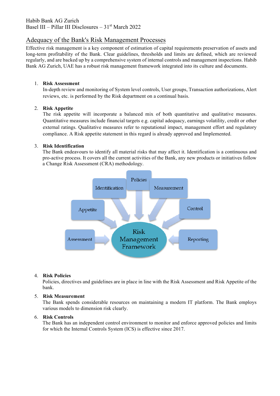### Adequacy of the Bank's Risk Management Processes

Effective risk management is a key component of estimation of capital requirements preservation of assets and long-term profitability of the Bank. Clear guidelines, thresholds and limits are defined, which are reviewed regularly, and are backed up by a comprehensive system of internal controls and management inspections. Habib Bank AG Zurich, UAE has a robust risk management framework integrated into its culture and documents.

#### 1. **Risk Assessment**

In-depth review and monitoring of System level controls, User groups, Transaction authorizations, Alert reviews, etc. is performed by the Risk department on a continual basis.

#### 2. **Risk Appetite**

The risk appetite will incorporate a balanced mix of both quantitative and qualitative measures. Quantitative measures include financial targets e.g. capital adequacy, earnings volatility, credit or other external ratings. Qualitative measures refer to reputational impact, management effort and regulatory compliance. A Risk appetite statement in this regard is already approved and Implemented.

#### 3. **Risk Identification**

The Bank endeavours to identify all material risks that may affect it. Identification is a continuous and pro-active process. It covers all the current activities of the Bank, any new products or initiatives follow a Change Risk Assessment (CRA) methodology.



#### 4. **Risk Policies**

Policies, directives and guidelines are in place in line with the Risk Assessment and Risk Appetite of the bank.

#### 5. **Risk Measurement**

The Bank spends considerable resources on maintaining a modern IT platform. The Bank employs various models to dimension risk clearly.

#### 6. **Risk Controls**

The Bank has an independent control environment to monitor and enforce approved policies and limits for which the Internal Controls System (ICS) is effective since 2017.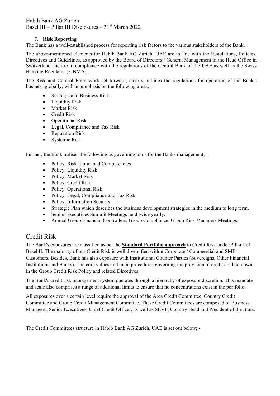#### 7. **Risk Reporting**

The Bank has a well-established process for reporting risk factors to the various stakeholders of the Bank.

The above-mentioned elements for Habib Bank AG Zurich, UAE are in line with the Regulations, Policies, Directives and Guidelines, as approved by the Board of Directors / General Management in the Head Office in Switzerland and are in compliance with the regulations of the Central Bank of the UAE as well as the Swiss Banking Regulator (FINMA).

The Risk and Control Framework set forward, clearly outlines the regulations for operation of the Bank's business globally, with an emphasis on the following areas; -

- Strategic and Business Risk
- Liquidity Risk
- Market Risk
- Credit Risk
- Operational Risk
- Legal, Compliance and Tax Risk
- Reputation Risk
- Systemic Risk

Further, the Bank utilises the following as governing tools for the Banks management; -

- Policy: Risk Limits and Competencies
- Policy: Liquidity Risk
- Policy: Market Risk
- Policy: Credit Risk
- Policy: Operational Risk
- Policy: Legal, Compliance and Tax Risk
- Policy: Information Security
- Strategic Plan which describes the business development strategies in the medium to long term.
- Senior Executives Summit Meetings held twice yearly.
- Annual Group Financial Controllers, Group Compliance, Group Risk Managers Meetings.

### Credit Risk

The Bank's exposures are classified as per the **Standard Portfolio approach** to Credit Risk under Pillar I of Basel II. The majority of our Credit Risk is well diversified within Corporate / Commercial and SME Customers. Besides, Bank has also exposure with Institutional Counter Parties (Sovereigns, Other Financial Institutions and Banks). The core values and main procedures governing the provision of credit are laid down in the Group Credit Risk Policy and related Directives.

The Bank's credit risk management system operates through a hierarchy of exposure discretion. This mandate and scale also comprises a range of additional limits to ensure that no concentrations exist in the portfolio.

All exposures over a certain level require the approval of the Area Credit Committee, Country Credit Committee and Group Credit Management Committee. These Credit Committees are composed of Business Managers, Senior Executives, Chief Credit Officer, as well as SEVP, Country Head and President of the Bank.

The Credit Committees structure in Habib Bank AG Zurich, UAE is set out below; -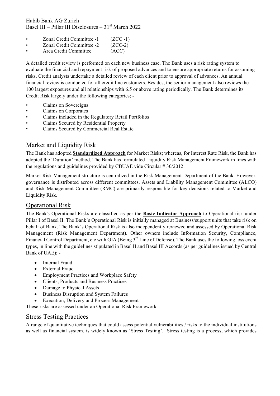- Zonal Credit Committee -1 (ZCC -1)
- Zonal Credit Committee -2 (ZCC-2)
- Area Credit Committee (ACC)

A detailed credit review is performed on each new business case. The Bank uses a risk rating system to evaluate the financial and repayment risk of proposed advances and to ensure appropriate returns for assuming risks. Credit analysts undertake a detailed review of each client prior to approval of advances. An annual financial review is conducted for all credit line customers. Besides, the senior management also reviews the 100 largest exposures and all relationships with 6.5 or above rating periodically. The Bank determines its Credit Risk largely under the following categories; -

- Claims on Sovereigns
- Claims on Corporates
- Claims included in the Regulatory Retail Portfolios
- Claims Secured by Residential Property
- Claims Secured by Commercial Real Estate

### Market and Liquidity Risk

The Bank has adopted **Standardized Approach** for Market Risks; whereas, for Interest Rate Risk, the Bank has adopted the 'Duration' method. The Bank has formulated Liquidity Risk Management Framework in lines with the regulations and guidelines provided by CBUAE vide Circular # 30/2012.

Market Risk Management structure is centralized in the Risk Management Department of the Bank. However, governance is distributed across different committees. Assets and Liability Management Committee (ALCO) and Risk Management Committee (RMC) are primarily responsible for key decisions related to Market and Liquidity Risk.

#### Operational Risk

The Bank's Operational Risks are classified as per the **Basic Indicator Approach** to Operational risk under Pillar I of Basel II. The Bank's Operational Risk is initially managed at Business/support units that take risk on behalf of Bank. The Bank's Operational Risk is also independently reviewed and assessed by Operational Risk Management (Risk Management Department). Other owners include Information Security, Compliance, Financial Control Department, etc with GIA (Being 3<sup>rd</sup> Line of Defense). The Bank uses the following loss event types, in line with the guidelines stipulated in Basel II and Basel III Accords (as per guidelines issued by Central Bank of UAE); -

- Internal Fraud
- External Fraud
- Employment Practices and Workplace Safety
- Clients, Products and Business Practices
- Damage to Physical Assets
- Business Disruption and System Failures
- Execution, Delivery and Process Management

These risks are assessed under an Operational Risk Framework

#### Stress Testing Practices

A range of quantitative techniques that could assess potential vulnerabilities / risks to the individual institutions as well as financial system, is widely known as 'Stress Testing'. Stress testing is a process, which provides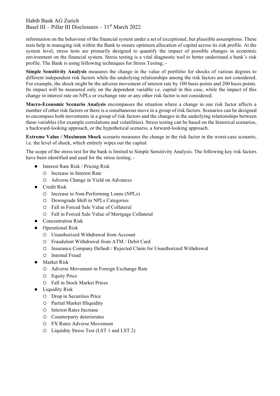information on the behaviour of the financial system under a set of exceptional, but plausible assumptions. These tests help in managing risk within the Bank to ensure optimum allocation of capital across its risk profile. At the system level, stress tests are primarily designed to quantify the impact of possible changes in economic environment on the financial system. Stress testing is a vital diagnostic tool to better understand a bank's risk profile. The Bank is using following techniques for Stress Testing; -

**Simple Sensitivity Analysis** measures the change in the value of portfolio for shocks of various degrees to different independent risk factors while the underlying relationships among the risk factors are not considered. For example, the shock might be the adverse movement of interest rate by 100 basis points and 200 basis points. Its impact will be measured only on the dependent variable i.e. capital in this case, while the impact of this change in interest rate on NPLs or exchange rate or any other risk factor is not considered.

**Macro-Economic Scenario Analysis** encompasses the situation where a change in one risk factor affects a number of other risk factors or there is a simultaneous move in a group of risk factors. Scenarios can be designed to encompass both movements in a group of risk factors and the changes in the underlying relationships between these variables (for example correlations and volatilities). Stress testing can be based on the historical scenarios, a backward-looking approach, or the hypothetical scenario, a forward-looking approach.

**Extreme Value / Maximum Shock** scenario measures the change in the risk factor in the worst-case scenario, i.e. the level of shock, which entirely wipes out the capital.

The scope of the stress test for the bank is limited to Simple Sensitivity Analysis. The following key risk factors have been identified and used for the stress testing; -

- $\bullet$  Interest Rate Risk / Pricing Risk
	- Increase in Interest Rate
	- Adverse Change in Yield on Advances
- Credit Risk
	- Increase in Non-Performing Loans (NPLs)
	- Downgrade Shift in NPLs Categories
	- Fall in Forced Sale Value of Collateral
	- Fall in Forced Sale Value of Mortgage Collateral
- Concentration Risk
- Operational Risk
	- Unauthorized Withdrawal from Account
	- Fraudulent Withdrawal from ATM / Debit Card
	- Insurance Company Default / Rejected Claim for Unauthorized Withdrawal
	- O Internal Fraud
- $\bullet$  Market Risk
	- Adverse Movement in Foreign Exchange Rate
	- Equity Price
	- Fall in Stock Market Prices
- $\bullet$  Liquidity Risk
	- Drop in Securities Price
	- Partial Market Illiquidity
	- Interest Rates Increase
	- Counterparty deteriorates
	- FX Rates Adverse Movement
	- Liquidity Stress Test (LST 1 and LST 2)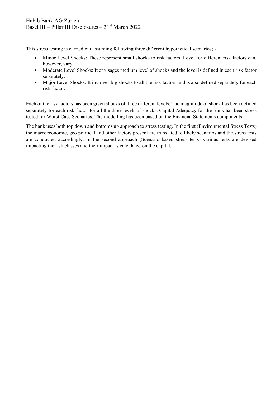This stress testing is carried out assuming following three different hypothetical scenarios; -

- Minor Level Shocks: These represent small shocks to risk factors. Level for different risk factors can, however, vary.
- Moderate Level Shocks: It envisages medium level of shocks and the level is defined in each risk factor separately.
- Major Level Shocks: It involves big shocks to all the risk factors and is also defined separately for each risk factor.

Each of the risk factors has been given shocks of three different levels. The magnitude of shock has been defined separately for each risk factor for all the three levels of shocks. Capital Adequacy for the Bank has been stress tested for Worst Case Scenarios. The modelling has been based on the Financial Statements components

The bank uses both top down and bottoms up approach to stress testing. In the first (Environmental Stress Tests) the macroeconomic, geo political and other factors present are translated to likely scenarios and the stress tests are conducted accordingly. In the second approach (Scenario based stress tests) various tests are devised impacting the risk classes and their impact is calculated on the capital.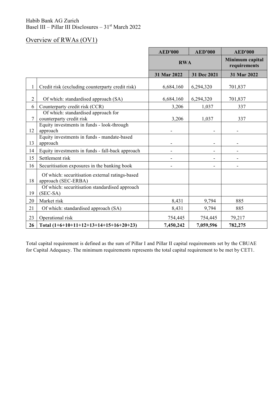# Overview of RWAs (OV1)

|                |                                                                        | <b>AED'000</b> | <b>AED'000</b> | <b>AED'000</b>                  |
|----------------|------------------------------------------------------------------------|----------------|----------------|---------------------------------|
|                |                                                                        | <b>RWA</b>     |                | Minimum capital<br>requirements |
|                |                                                                        | 31 Mar 2022    | 31 Dec 2021    | 31 Mar 2022                     |
| 1              | Credit risk (excluding counterparty credit risk)                       | 6,684,160      | 6,294,320      | 701,837                         |
| $\overline{2}$ | Of which: standardised approach (SA)                                   | 6,684,160      | 6,294,320      | 701,837                         |
| 6              | Counterparty credit risk (CCR)                                         | 3,206          | 1,037          | 337                             |
| $\overline{7}$ | Of which: standardised approach for<br>counterparty credit risk        | 3,206          | 1,037          | 337                             |
| 12             | Equity investments in funds - look-through<br>approach                 |                |                |                                 |
| 13             | Equity investments in funds - mandate-based<br>approach                |                | ۰              |                                 |
| 14             | Equity investments in funds - fall-back approach                       |                | ۰              |                                 |
| 15             | Settlement risk                                                        |                | ۰              |                                 |
| 16             | Securitisation exposures in the banking book                           |                | ۰              |                                 |
| 18             | Of which: securitisation external ratings-based<br>approach (SEC-ERBA) |                |                |                                 |
| 19             | Of which: securitisation standardised approach<br>$(SEC-SA)$           |                |                |                                 |
| 20             | Market risk                                                            | 8,431          | 9,794          | 885                             |
| 21             | Of which: standardised approach (SA)                                   | 8,431          | 9,794          | 885                             |
| 23             | Operational risk                                                       | 754,445        | 754,445        | 79,217                          |
| 26             | Total $(1+6+10+11+12+13+14+15+16+20+23)$                               | 7,450,242      | 7,059,596      | 782,275                         |

Total capital requirement is defined as the sum of Pillar I and Pillar II capital requirements set by the CBUAE for Capital Adequacy. The minimum requirements represents the total capital requirement to be met by CET1.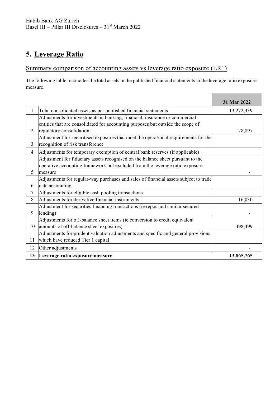# **5. Leverage Ratio**

# Summary comparison of accounting assets vs leverage ratio exposure (LR1)

The following table reconciles the total assets in the published financial statements to the leverage ratio exposure measure.

|                |                                                                                                                         | 31 Mar 2022 |
|----------------|-------------------------------------------------------------------------------------------------------------------------|-------------|
| $\mathbf{I}$   | Total consolidated assets as per published financial statements                                                         | 13,272,339  |
|                | Adjustments for investments in banking, financial, insurance or commercial                                              |             |
|                | entities that are consolidated for accounting purposes but outside the scope of                                         |             |
| 2              | regulatory consolidation                                                                                                | 78,897      |
| 3              | Adjustment for securitised exposures that meet the operational requirements for the<br>recognition of risk transference |             |
| $\overline{4}$ | Adjustments for temporary exemption of central bank reserves (if applicable)                                            |             |
|                | Adjustment for fiduciary assets recognised on the balance sheet pursuant to the                                         |             |
|                | operative accounting framework but excluded from the leverage ratio exposure                                            |             |
| 5              | measure                                                                                                                 |             |
|                | Adjustments for regular-way purchases and sales of financial assets subject to trade                                    |             |
| 6              | date accounting                                                                                                         |             |
| 7              | Adjustments for eligible cash pooling transactions                                                                      |             |
| 8              | Adjustments for derivative financial instruments                                                                        | 16,030      |
|                | Adjustment for securities financing transactions (ie repos and similar secured                                          |             |
| 9              | lending)                                                                                                                |             |
|                | Adjustments for off-balance sheet items (ie conversion to credit equivalent                                             |             |
| 10             | amounts of off-balance sheet exposures)                                                                                 | 498,499     |
|                | Adjustments for prudent valuation adjustments and specific and general provisions                                       |             |
| 11             | which have reduced Tier 1 capital                                                                                       |             |
| 12             | Other adjustments                                                                                                       |             |
| 13             | Leverage ratio exposure measure                                                                                         | 13,865,765  |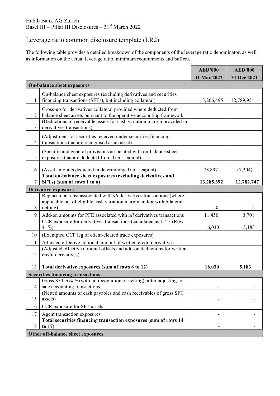# Leverage ratio common disclosure template (LR2)

The following table provides a detailed breakdown of the components of the leverage ratio denominator, as well as information on the actual leverage ratio, minimum requirements and buffers.

|                |                                                                                                                       | <b>AED'000</b>   | <b>AED'000</b> |  |  |  |  |
|----------------|-----------------------------------------------------------------------------------------------------------------------|------------------|----------------|--|--|--|--|
|                |                                                                                                                       | 31 Mar 2022      | 31 Dec 2021    |  |  |  |  |
|                | <b>On-balance sheet exposures</b>                                                                                     |                  |                |  |  |  |  |
|                | On-balance sheet exposures (excluding derivatives and securities                                                      |                  |                |  |  |  |  |
| 1              | financing transactions (SFTs), but including collateral)                                                              | 13,206,495       | 12,789,951     |  |  |  |  |
|                | Gross-up for derivatives collateral provided where deducted from                                                      |                  |                |  |  |  |  |
| $\overline{2}$ | balance sheet assets pursuant to the operative accounting framework                                                   |                  |                |  |  |  |  |
| 3              | (Deductions of receivable assets for cash variation margin provided in<br>derivatives transactions)                   |                  |                |  |  |  |  |
|                | (Adjustment for securities received under securities financing                                                        |                  |                |  |  |  |  |
| 4              | transactions that are recognised as an asset)                                                                         |                  |                |  |  |  |  |
| 5              | (Specific and general provisions associated with on-balance sheet<br>exposures that are deducted from Tier 1 capital) |                  |                |  |  |  |  |
| 6              | (Asset amounts deducted in determining Tier 1 capital)                                                                | 78,897           | (7,204)        |  |  |  |  |
|                | Total on-balance sheet exposures (excluding derivatives and                                                           |                  |                |  |  |  |  |
| 7              | SFTs) (sum of rows 1 to 6)                                                                                            | 13,285,392       | 12,782,747     |  |  |  |  |
|                | <b>Derivative exposures</b>                                                                                           |                  |                |  |  |  |  |
|                | Replacement cost associated with all derivatives transactions (where                                                  |                  |                |  |  |  |  |
| 8              | applicable net of eligible cash variation margin and/or with bilateral<br>netting)                                    | $\boldsymbol{0}$ | 1              |  |  |  |  |
| 9              | Add-on amounts for PFE associated with all derivatives transactions                                                   | 11,450           | 3,701          |  |  |  |  |
|                | CCR exposure for derivatives transactions (calculated as 1.4 x (Row                                                   |                  |                |  |  |  |  |
|                | $4+5)$                                                                                                                | 16,030           | 5,183          |  |  |  |  |
| 10             | (Exempted CCP leg of client-cleared trade exposures)                                                                  |                  |                |  |  |  |  |
| 11             | Adjusted effective notional amount of written credit derivatives                                                      |                  |                |  |  |  |  |
| 12             | (Adjusted effective notional offsets and add-on deductions for written<br>credit derivatives)                         |                  |                |  |  |  |  |
|                |                                                                                                                       |                  |                |  |  |  |  |
| 13             | Total derivative exposures (sum of rows 8 to 12)                                                                      | 16,030           | 5,183          |  |  |  |  |
|                | <b>Securities financing transactions</b>                                                                              |                  |                |  |  |  |  |
|                | Gross SFT <i>assets</i> (with no recognition of netting), after adjusting for                                         |                  |                |  |  |  |  |
| 14             | sale accounting transactions<br>(Netted amounts of cash payables and cash receivables of gross SFT                    |                  |                |  |  |  |  |
| 15             | assets)                                                                                                               |                  |                |  |  |  |  |
| 16             | CCR exposure for SFT assets                                                                                           |                  |                |  |  |  |  |
| 17             | Agent transaction exposures                                                                                           |                  |                |  |  |  |  |
| 18             | Total securities financing transaction exposures (sum of rows 14<br>to $17)$                                          |                  |                |  |  |  |  |
|                | Other off-balance sheet exposures                                                                                     |                  |                |  |  |  |  |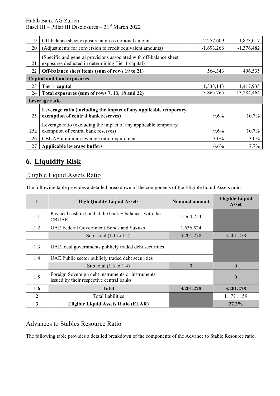Habib Bank AG Zurich

Basel III – Pillar III Disclosures – 31st March 2022

| 19  | Off-balance sheet exposure at gross notional amount                                                                     | 2,257,609    | 1,873,017    |
|-----|-------------------------------------------------------------------------------------------------------------------------|--------------|--------------|
| 20  | (Adjustments for conversion to credit equivalent amounts)                                                               | $-1,693,266$ | $-1,376,482$ |
| 21  | (Specific and general provisions associated with off-balance sheet<br>exposures deducted in determining Tier 1 capital) |              |              |
| 22  | Off-balance sheet items (sum of rows 19 to 21)                                                                          | 564,343      | 496,535      |
|     | <b>Capital and total exposures</b>                                                                                      |              |              |
| 23  | Tier 1 capital                                                                                                          | 1,333,143    | 1,417,935    |
| 24  | Total exposures (sum of rows 7, 13, 18 and 22)                                                                          | 13,865,765   | 13,284,464   |
|     | Leverage ratio                                                                                                          |              |              |
| 25  | Leverage ratio (including the impact of any applicable temporary<br>exemption of central bank reserves)                 | $9.6\%$      | 10.7%        |
| 25a | Leverage ratio (excluding the impact of any applicable temporary<br>exemption of central bank reserves)                 | $9.6\%$      | 10.7%        |
| 26  | CBUAE minimum leverage ratio requirement                                                                                | $3.0\%$      | 3.0%         |
| 27  | Applicable leverage buffers                                                                                             | $6.6\%$      | 7.7%         |

# **6. Liquidity Risk**

## Eligible Liquid Assets Ratio

The following table provides a detailed breakdown of the components of the Eligible liquid Assets ratio.

|              | <b>High Quality Liquid Assets</b>                                                             | <b>Nominal amount</b> | <b>Eligible Liquid</b><br><b>Asset</b> |
|--------------|-----------------------------------------------------------------------------------------------|-----------------------|----------------------------------------|
| 1.1          | Physical cash in hand at the bank + balances with the<br><b>CBUAE</b>                         | 1,564,754             |                                        |
| 1.2          | UAE Federal Government Bonds and Sukuks                                                       | 1,636,524             |                                        |
|              | Sub Total $(1.1 \text{ to } 1.2)$                                                             | 3,201,278             | 3,201,278                              |
| 1.3          | UAE local governments publicly traded debt securities                                         |                       |                                        |
| 1.4          | UAE Public sector publicly traded debt securities                                             |                       |                                        |
|              | Sub total $(1.3 \text{ to } 1.4)$                                                             | $\Omega$              | $\theta$                               |
| 1.5          | Foreign Sovereign debt instruments or instruments<br>issued by their respective central banks |                       | $\theta$                               |
| 1.6          | <b>Total</b>                                                                                  | 3,201,278             | 3,201,278                              |
| $\mathbf{2}$ | Total liabilities                                                                             |                       | 11,771,159                             |
| 3            | <b>Eligible Liquid Assets Ratio (ELAR)</b>                                                    |                       | 27.2%                                  |

### Advances to Stables Resource Ratio

The following table provides a detailed breakdown of the components of the Advance to Stable Resource ratio.